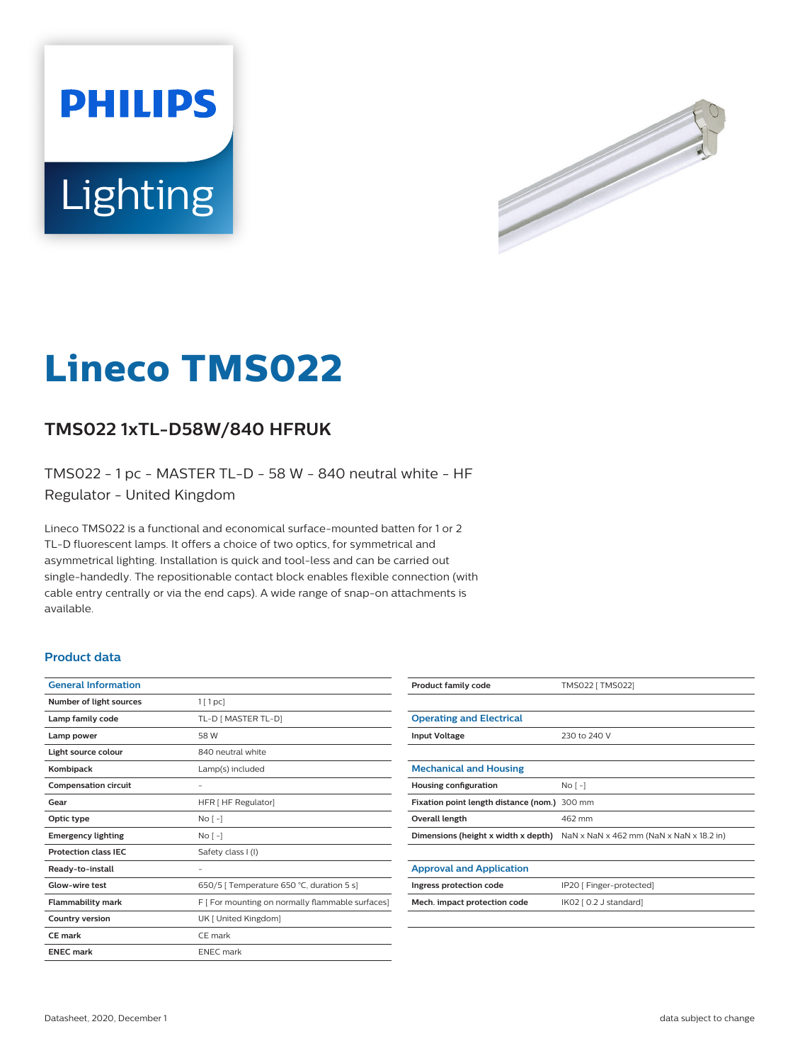



# **Lineco TMS022**

## **TMS022 1xTL-D58W/840 HFRUK**

TMS022 - 1 pc - MASTER TL-D - 58 W - 840 neutral white - HF Regulator - United Kingdom

Lineco TMS022 is a functional and economical surface-mounted batten for 1 or 2 TL-D fluorescent lamps. It offers a choice of two optics, for symmetrical and asymmetrical lighting. Installation is quick and tool-less and can be carried out single-handedly. The repositionable contact block enables flexible connection (with cable entry centrally or via the end caps). A wide range of snap-on attachments is available.

#### **Product data**

| <b>General Information</b>  |                                                  |
|-----------------------------|--------------------------------------------------|
| Number of light sources     | 1[1pc]                                           |
| Lamp family code            | TL-D [ MASTER TL-D]                              |
| Lamp power                  | 58 W                                             |
| Light source colour         | 840 neutral white                                |
| Kombipack                   | Lamp(s) included                                 |
| <b>Compensation circuit</b> |                                                  |
| Gear                        | HFR [ HF Regulator]                              |
| Optic type                  | $No[-]$                                          |
| <b>Emergency lighting</b>   | $No [-]$                                         |
| <b>Protection class IEC</b> | Safety class I (I)                               |
| Ready-to-install            |                                                  |
| Glow-wire test              | 650/5   Temperature 650 °C, duration 5 s]        |
| <b>Flammability mark</b>    | F [ For mounting on normally flammable surfaces] |
| <b>Country version</b>      | UK [ United Kingdom]                             |
| <b>CE</b> mark              | CE mark                                          |
| <b>ENEC mark</b>            | <b>ENEC</b> mark                                 |
|                             |                                                  |

| <b>Product family code</b>                   | TMS022 [ TMS022]                         |
|----------------------------------------------|------------------------------------------|
|                                              |                                          |
| <b>Operating and Electrical</b>              |                                          |
| <b>Input Voltage</b>                         | 230 to 240 V                             |
|                                              |                                          |
| <b>Mechanical and Housing</b>                |                                          |
| <b>Housing configuration</b>                 | $No$ [ -]                                |
| Fixation point length distance (nom.) 300 mm |                                          |
| Overall length                               | 462 mm                                   |
| Dimensions (height x width x depth)          | NaN x NaN x 462 mm (NaN x NaN x 18.2 in) |
|                                              |                                          |
| <b>Approval and Application</b>              |                                          |
| Ingress protection code                      | IP20 [ Finger-protected]                 |
| Mech. impact protection code                 | IK02 [ 0.2 J standard]                   |
|                                              |                                          |